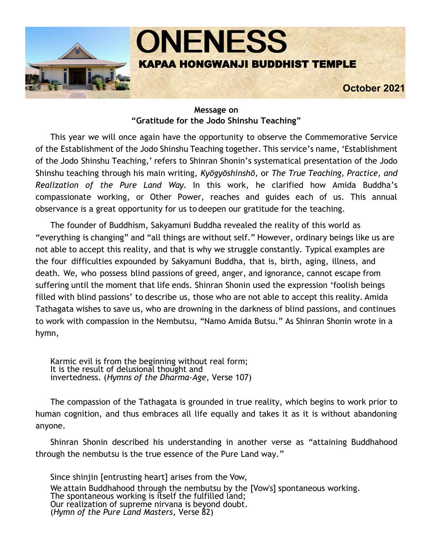

#### **Message on "Gratitude for the Jodo Shinshu Teaching"**

This year we will once again have the opportunity to observe the Commemorative Service of the Establishment of the Jodo Shinshu Teaching together. This service's name, 'Establishment of the Jodo Shinshu Teaching,' refers to Shinran Shonin's systematical presentation of the Jodo Shinshu teaching through his main writing, *Kyōgyōshinshō,* or *The True Teaching, Practice, and Realization of the Pure Land Way*. In this work, he clarified how Amida Buddha's compassionate working, or Other Power, reaches and guides each of us. This annual observance is a great opportunity for us to deepen our gratitude for the teaching.

The founder of Buddhism, Sakyamuni Buddha revealed the reality of this world as "everything is changing" and "all things are without self." However, ordinary beings like us are not able to accept this reality, and that is why we struggle constantly. Typical examples are the four difficulties expounded by Sakyamuni Buddha, that is, birth, aging, illness, and death. We, who possess blind passions of greed, anger, and ignorance, cannot escape from suffering until the moment that life ends. Shinran Shonin used the expression 'foolish beings filled with blind passions' to describe us, those who are not able to accept this reality. Amida Tathagata wishes to save us, who are drowning in the darkness of blind passions, and continues to work with compassion in the Nembutsu, "Namo Amida Butsu." As Shinran Shonin wrote in a hymn,

Karmic evil is from the beginning without real form; It is the result of delusional thought and invertedness. (*Hymns of the Dharma-Age,* Verse 107)

The compassion of the Tathagata is grounded in true reality, which begins to work prior to human cognition, and thus embraces all life equally and takes it as it is without abandoning anyone.

Shinran Shonin described his understanding in another verse as "attaining Buddhahood through the nembutsu is the true essence of the Pure Land way."

Since shinjin [entrusting heart] arises from the Vow, We attain Buddhahood through the nembutsu by the [Vow's] spontaneous working. The spontaneous working is itself the fulfilled land; Our realization of supreme nirvana is beyond doubt. (*Hymn of the Pure Land Masters,* Verse 82)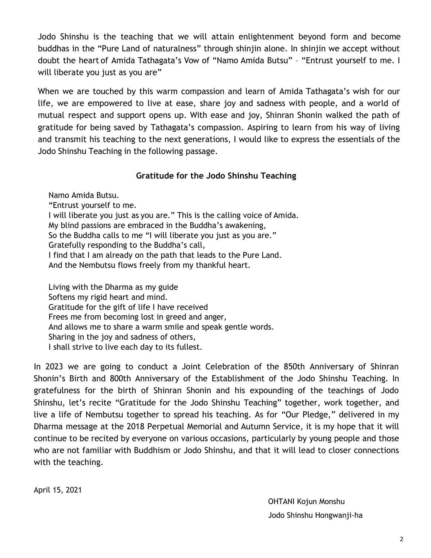Jodo Shinshu is the teaching that we will attain enlightenment beyond form and become buddhas in the "Pure Land of naturalness" through shinjin alone. In shinjin we accept without doubt the heart of Amida Tathagata's Vow of "Namo Amida Butsu" – "Entrust yourself to me. I will liberate you just as you are"

When we are touched by this warm compassion and learn of Amida Tathagata's wish for our life, we are empowered to live at ease, share joy and sadness with people, and a world of mutual respect and support opens up. With ease and joy, Shinran Shonin walked the path of gratitude for being saved by Tathagata's compassion. Aspiring to learn from his way of living and transmit his teaching to the next generations, I would like to express the essentials of the Jodo Shinshu Teaching in the following passage.

### **Gratitude for the Jodo Shinshu Teaching**

Namo Amida Butsu. "Entrust yourself to me. I will liberate you just as you are." This is the calling voice of Amida. My blind passions are embraced in the Buddha's awakening, So the Buddha calls to me "I will liberate you just as you are." Gratefully responding to the Buddha's call, I find that I am already on the path that leads to the Pure Land. And the Nembutsu flows freely from my thankful heart.

Living with the Dharma as my guide Softens my rigid heart and mind. Gratitude for the gift of life I have received Frees me from becoming lost in greed and anger, And allows me to share a warm smile and speak gentle words. Sharing in the joy and sadness of others, I shall strive to live each day to its fullest.

In 2023 we are going to conduct a Joint Celebration of the 850th Anniversary of Shinran Shonin's Birth and 800th Anniversary of the Establishment of the Jodo Shinshu Teaching. In gratefulness for the birth of Shinran Shonin and his expounding of the teachings of Jodo Shinshu, let's recite "Gratitude for the Jodo Shinshu Teaching" together, work together, and live a life of Nembutsu together to spread his teaching. As for "Our Pledge," delivered in my Dharma message at the 2018 Perpetual Memorial and Autumn Service, it is my hope that it will continue to be recited by everyone on various occasions, particularly by young people and those who are not familiar with Buddhism or Jodo Shinshu, and that it will lead to closer connections with the teaching.

April 15, 2021

OHTANI Kojun Monshu Jodo Shinshu Hongwanji-ha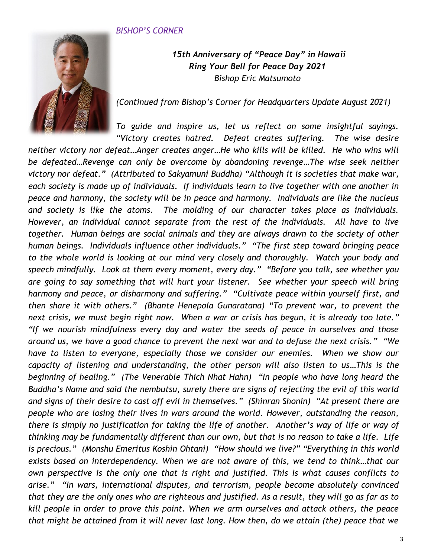### *BISHOP'S CORNER*



## *15th Anniversary of "Peace Day" in Hawaii Ring Your Bell for Peace Day 2021 Bishop Eric Matsumoto*

*(Continued from Bishop's Corner for Headquarters Update August 2021)*

*To guide and inspire us, let us reflect on some insightful sayings. "Victory creates hatred. Defeat creates suffering. The wise desire* 

*neither victory nor defeat…Anger creates anger…He who kills will be killed. He who wins will be defeated…Revenge can only be overcome by abandoning revenge…The wise seek neither victory nor defeat." (Attributed to Sakyamuni Buddha) "Although it is societies that make war, each society is made up of individuals. If individuals learn to live together with one another in peace and harmony, the society will be in peace and harmony. Individuals are like the nucleus and society is like the atoms. The molding of our character takes place as individuals. However, an individual cannot separate from the rest of the individuals. All have to live together. Human beings are social animals and they are always drawn to the society of other human beings. Individuals influence other individuals." "The first step toward bringing peace to the whole world is looking at our mind very closely and thoroughly. Watch your body and speech mindfully. Look at them every moment, every day." "Before you talk, see whether you are going to say something that will hurt your listener. See whether your speech will bring harmony and peace, or disharmony and suffering." "Cultivate peace within yourself first, and then share it with others." (Bhante Henepola Gunaratana) "To prevent war, to prevent the next crisis, we must begin right now. When a war or crisis has begun, it is already too late." "If we nourish mindfulness every day and water the seeds of peace in ourselves and those around us, we have a good chance to prevent the next war and to defuse the next crisis." "We have to listen to everyone, especially those we consider our enemies. When we show our capacity of listening and understanding, the other person will also listen to us…This is the beginning of healing." (The Venerable Thich Nhat Hahn) "In people who have long heard the Buddha's Name and said the nembutsu, surely there are signs of rejecting the evil of this world and signs of their desire to cast off evil in themselves." (Shinran Shonin) "At present there are people who are losing their lives in wars around the world. However, outstanding the reason, there is simply no justification for taking the life of another. Another's way of life or way of thinking may be fundamentally different than our own, but that is no reason to take a life. Life is precious." (Monshu Emeritus Koshin Ohtani) "How should we live?" "Everything in this world exists based on interdependency. When we are not aware of this, we tend to think…that our own perspective is the only one that is right and justified. This is what causes conflicts to arise." "In wars, international disputes, and terrorism, people become absolutely convinced that they are the only ones who are righteous and justified. As a result, they will go as far as to kill people in order to prove this point. When we arm ourselves and attack others, the peace that might be attained from it will never last long. How then, do we attain (the) peace that we*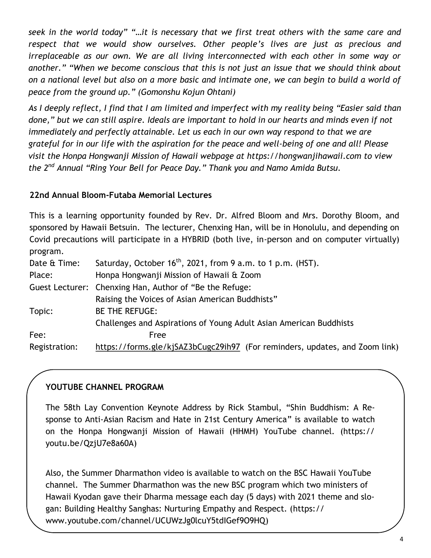*seek in the world today" "…it is necessary that we first treat others with the same care and respect that we would show ourselves. Other people's lives are just as precious and irreplaceable as our own. We are all living interconnected with each other in some way or another." "When we become conscious that this is not just an issue that we should think about on a national level but also on a more basic and intimate one, we can begin to build a world of peace from the ground up." (Gomonshu Kojun Ohtani)* 

*As I deeply reflect, I find that I am limited and imperfect with my reality being "Easier said than done," but we can still aspire. Ideals are important to hold in our hearts and minds even if not immediately and perfectly attainable. Let us each in our own way respond to that we are grateful for in our life with the aspiration for the peace and well-being of one and all! Please visit the Honpa Hongwanji Mission of Hawaii webpage at https://hongwanjihawaii.com to view the 2nd Annual "Ring Your Bell for Peace Day." Thank you and Namo Amida Butsu.* 

### **22nd Annual Bloom-Futaba Memorial Lectures**

This is a learning opportunity founded by Rev. Dr. Alfred Bloom and Mrs. Dorothy Bloom, and sponsored by Hawaii Betsuin. The lecturer, Chenxing Han, will be in Honolulu, and depending on Covid precautions will participate in a HYBRID (both live, in-person and on computer virtually) program.

| Saturday, October $16th$ , 2021, from 9 a.m. to 1 p.m. (HST).               |  |  |  |
|-----------------------------------------------------------------------------|--|--|--|
| Honpa Hongwanji Mission of Hawaii & Zoom                                    |  |  |  |
| Guest Lecturer: Chenxing Han, Author of "Be the Refuge:                     |  |  |  |
| Raising the Voices of Asian American Buddhists"                             |  |  |  |
| <b>BE THE REFUGE:</b>                                                       |  |  |  |
| Challenges and Aspirations of Young Adult Asian American Buddhists          |  |  |  |
| Free                                                                        |  |  |  |
| https://forms.gle/kjSAZ3bCugc29ih97 (For reminders, updates, and Zoom link) |  |  |  |
|                                                                             |  |  |  |

## **YOUTUBE CHANNEL PROGRAM**

The 58th Lay Convention Keynote Address by Rick Stambul, "Shin Buddhism: A Response to Anti-Asian Racism and Hate in 21st Century America" is available to watch on the Honpa Hongwanji Mission of Hawaii (HHMH) YouTube channel. (https:// youtu.be/QzjU7e8a60A)

Also, the Summer Dharmathon video is available to watch on the BSC Hawaii YouTube channel. The Summer Dharmathon was the new BSC program which two ministers of Hawaii Kyodan gave their Dharma message each day (5 days) with 2021 theme and slogan: Building Healthy Sanghas: Nurturing Empathy and Respect. (https:// www.youtube.com/channel/UCUWzJg0lcuY5tdIGef9O9HQ)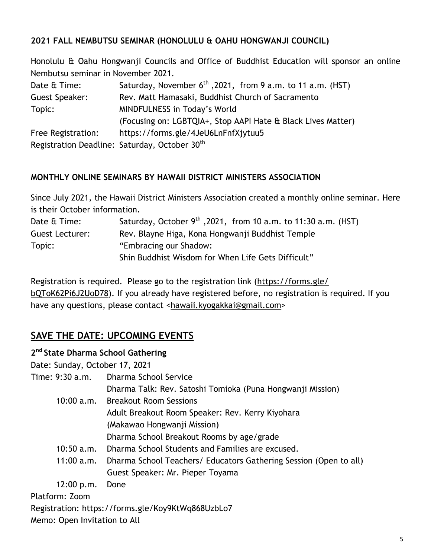## **2021 FALL NEMBUTSU SEMINAR (HONOLULU & OAHU HONGWANJI COUNCIL)**

Honolulu & Oahu Hongwanji Councils and Office of Buddhist Education will sponsor an online Nembutsu seminar in November 2021.

| Date & Time:       | Saturday, November $6^{th}$ , 2021, from 9 a.m. to 11 a.m. (HST) |  |  |  |
|--------------------|------------------------------------------------------------------|--|--|--|
| Guest Speaker:     | Rev. Matt Hamasaki, Buddhist Church of Sacramento                |  |  |  |
| Topic:             | MINDFULNESS in Today's World                                     |  |  |  |
|                    | (Focusing on: LGBTQIA+, Stop AAPI Hate & Black Lives Matter)     |  |  |  |
| Free Registration: | https://forms.gle/4JeU6LnFnfXjytuu5                              |  |  |  |
|                    | Registration Deadline: Saturday, October 30th                    |  |  |  |

## **MONTHLY ONLINE SEMINARS BY HAWAII DISTRICT MINISTERS ASSOCIATION**

Since July 2021, the Hawaii District Ministers Association created a monthly online seminar. Here is their October information.

| Date & Time:    | Saturday, October $9^{th}$ , 2021, from 10 a.m. to 11:30 a.m. (HST) |  |  |  |
|-----------------|---------------------------------------------------------------------|--|--|--|
| Guest Lecturer: | Rev. Blayne Higa, Kona Hongwanji Buddhist Temple                    |  |  |  |
| Topic:          | "Embracing our Shadow:                                              |  |  |  |
|                 | Shin Buddhist Wisdom for When Life Gets Difficult"                  |  |  |  |

Registration is required. Please go to the registration link ([https://forms.gle/](https://forms.gle/bQToK62Pi6J2UoD78) [bQToK62Pi6J2UoD78\).](https://forms.gle/bQToK62Pi6J2UoD78) If you already have registered before, no registration is required. If you have any questions, please contact <[hawaii.kyogakkai@gmail.com>](mailto:hawaii.kyogakkai@gmail.com)

# **SAVE THE DATE: UPCOMING EVENTS**

## **2 nd State Dharma School Gathering**

Date: Sunday, October 17, 2021

| Time: 9:30 a.m. | Dharma School Service                                             |
|-----------------|-------------------------------------------------------------------|
|                 | Dharma Talk: Rev. Satoshi Tomioka (Puna Hongwanji Mission)        |
| 10:00 a.m.      | <b>Breakout Room Sessions</b>                                     |
|                 | Adult Breakout Room Speaker: Rev. Kerry Kiyohara                  |
|                 | (Makawao Hongwanji Mission)                                       |
|                 | Dharma School Breakout Rooms by age/grade                         |
| $10:50$ a.m.    | Dharma School Students and Families are excused.                  |
| 11:00 a.m.      | Dharma School Teachers/ Educators Gathering Session (Open to all) |
|                 | Guest Speaker: Mr. Pieper Toyama                                  |
| 12:00 p.m.      | Done                                                              |
| Platform: Zoom  |                                                                   |
|                 | Registration: https://forms.gle/Koy9KtWq868UzbLo7                 |

Memo: Open Invitation to All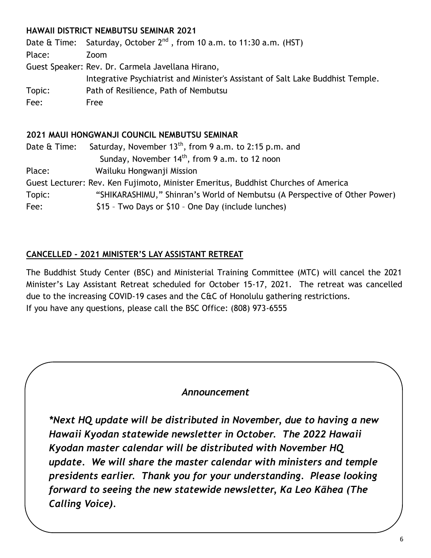# **HAWAII DISTRICT NEMBUTSU SEMINAR 2021**

Date  $\hat{\alpha}$  Time: Saturday, October  $2^{nd}$ , from 10 a.m. to 11:30 a.m. (HST) Place: Zoom Guest Speaker: Rev. Dr. Carmela Javellana Hirano, Integrative Psychiatrist and Minister's Assistant of Salt Lake Buddhist Temple. Topic: Path of Resilience, Path of Nembutsu Fee: Free

## **2021 MAUI HONGWANJI COUNCIL NEMBUTSU SEMINAR**

Date  $\alpha$  Time: Saturday, November 13<sup>th</sup>, from 9 a.m. to 2:15 p.m. and Sunday, November  $14<sup>th</sup>$ , from 9 a.m. to 12 noon Place: Wailuku Hongwanji Mission Guest Lecturer: Rev. Ken Fujimoto, Minister Emeritus, Buddhist Churches of America Topic: "SHIKARASHIMU," Shinran's World of Nembutsu (A Perspective of Other Power) Fee:  $$15 - Two Days or $10 - One Day (include lunches)$ 

## **CANCELLED - 2021 MINISTER'S LAY ASSISTANT RETREAT**

The Buddhist Study Center (BSC) and Ministerial Training Committee (MTC) will cancel the 2021 Minister's Lay Assistant Retreat scheduled for October 15-17, 2021. The retreat was cancelled due to the increasing COVID-19 cases and the C&C of Honolulu gathering restrictions. If you have any questions, please call the BSC Office: (808) 973-6555

## *Announcement*

*\*Next HQ update will be distributed in November, due to having a new Hawaii Kyodan statewide newsletter in October. The 2022 Hawaii Kyodan master calendar will be distributed with November HQ update. We will share the master calendar with ministers and temple presidents earlier. Thank you for your understanding. Please looking forward to seeing the new statewide newsletter, Ka Leo Kāhea (The Calling Voice).*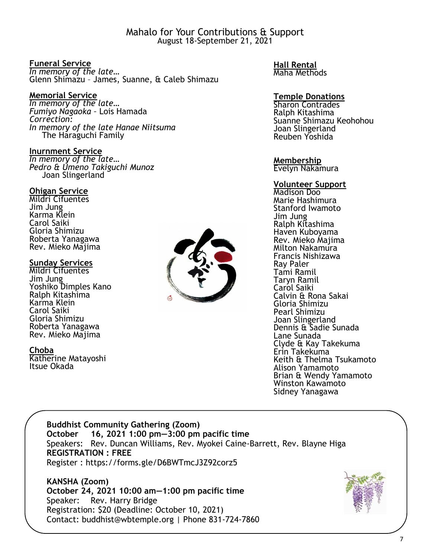Mahalo for Your Contributions & Support August 18-September 21, 2021

#### **Funeral Service**

*In memory of the late…*  Glenn Shimazu – James, Suanne, & Caleb Shimazu

#### **Memorial Service**

*In memory of the late… Fumiyo Nagaoka –* Lois Hamada *Correction: In memory of the late Hanae Niitsuma* The Haraguchi Family

#### **Inurnment Service**

*In memory of the late… Pedro & Umeno Takiguchi Munoz* Joan Slingerland

#### **Ohigan Service**

Mildri Cifuentes Jim Jung Karma Klein Carol Saiki Gloria Shimizu Roberta Yanagawa Rev. Mieko Majima

#### **Sunday Services**

Mildri Cifuentes Jim Jung Yoshiko Dimples Kano Ralph Kitashima Karma Klein Carol Saiki Gloria Shimizu Roberta Yanagawa Rev. Mieko Majima

**Choba**

Katherine Matayoshi Itsue Okada



**Hall Rental** Maha Methods

#### **Temple Donations**

Sharon Contrades Ralph Kitashima Suanne Shimazu Keohohou Joan Slingerland Reuben Yoshida

### **Membership**

Evelyn Nakamura

### **Volunteer Support**

Madison Doo Marie Hashimura Stanford Iwamoto Jim Jung Ralph Kitashima Haven Kuboyama Rev. Mieko Majima Milton Nakamura Francis Nishizawa Ray Paler Tami Ramil Taryn Ramil Carol Saiki Calvin & Rona Sakai Gloria Shimizu Pearl Shimizu Joan Slingerland Dennis & Sadie Sunada Lane Sunada Clyde & Kay Takekuma Erin Takekuma Keith & Thelma Tsukamoto Alison Yamamoto Brian & Wendy Yamamoto Winston Kawamoto Sidney Yanagawa

### **Buddhist Community Gathering (Zoom) October 16, 2021 1:00 pm—3:00 pm pacific time** Speakers: Rev. Duncan Williams, Rev. Myokei Caine-Barrett, Rev. Blayne Higa **REGISTRATION : FREE**  Register : https://forms.gle/D6BWTmcJ3Z92corz5

**KANSHA (Zoom) October 24, 2021 10:00 am—1:00 pm pacific time** Speaker: Rev. Harry Bridge Registration: \$20 (Deadline: October 10, 2021) Contact: buddhist@wbtemple.org | Phone 831-724-7860

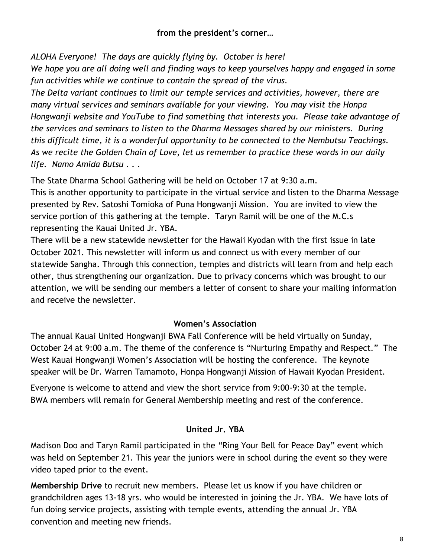### **from the president's corner…**

*ALOHA Everyone! The days are quickly flying by. October is here!*

*We hope you are all doing well and finding ways to keep yourselves happy and engaged in some fun activities while we continue to contain the spread of the virus.* 

*The Delta variant continues to limit our temple services and activities, however, there are many virtual services and seminars available for your viewing. You may visit the Honpa Hongwanji website and YouTube to find something that interests you. Please take advantage of the services and seminars to listen to the Dharma Messages shared by our ministers. During this difficult time, it is a wonderful opportunity to be connected to the Nembutsu Teachings. As we recite the Golden Chain of Love, let us remember to practice these words in our daily life. Namo Amida Butsu . . .* 

The State Dharma School Gathering will be held on October 17 at 9:30 a.m.

This is another opportunity to participate in the virtual service and listen to the Dharma Message presented by Rev. Satoshi Tomioka of Puna Hongwanji Mission. You are invited to view the service portion of this gathering at the temple. Taryn Ramil will be one of the M.C.s representing the Kauai United Jr. YBA.

There will be a new statewide newsletter for the Hawaii Kyodan with the first issue in late October 2021. This newsletter will inform us and connect us with every member of our statewide Sangha. Through this connection, temples and districts will learn from and help each other, thus strengthening our organization. Due to privacy concerns which was brought to our attention, we will be sending our members a letter of consent to share your mailing information and receive the newsletter.

### **Women's Association**

The annual Kauai United Hongwanji BWA Fall Conference will be held virtually on Sunday, October 24 at 9:00 a.m. The theme of the conference is "Nurturing Empathy and Respect." The West Kauai Hongwanji Women's Association will be hosting the conference. The keynote speaker will be Dr. Warren Tamamoto, Honpa Hongwanji Mission of Hawaii Kyodan President.

Everyone is welcome to attend and view the short service from 9:00-9:30 at the temple. BWA members will remain for General Membership meeting and rest of the conference.

## **United Jr. YBA**

Madison Doo and Taryn Ramil participated in the "Ring Your Bell for Peace Day" event which was held on September 21. This year the juniors were in school during the event so they were video taped prior to the event.

**Membership Drive** to recruit new members. Please let us know if you have children or grandchildren ages 13-18 yrs. who would be interested in joining the Jr. YBA. We have lots of fun doing service projects, assisting with temple events, attending the annual Jr. YBA convention and meeting new friends.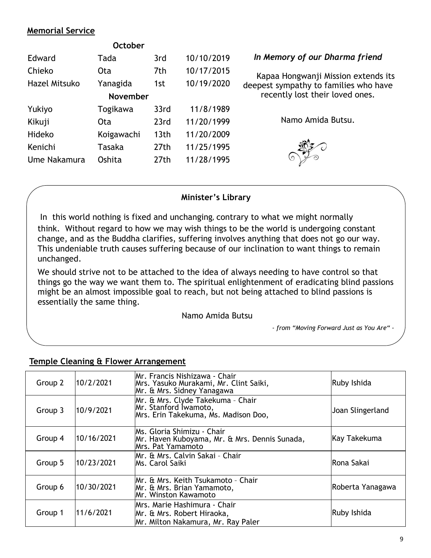### **Memorial Service**

| <b>October</b>  |                  |            |  |  |  |  |
|-----------------|------------------|------------|--|--|--|--|
| Tada            | 3rd              | 10/10/2019 |  |  |  |  |
| Ota             | 7th              | 10/17/2015 |  |  |  |  |
| Yanagida        | 1st              | 10/19/2020 |  |  |  |  |
| <b>November</b> |                  |            |  |  |  |  |
| Togikawa        | 33rd             | 11/8/1989  |  |  |  |  |
| Ota             | 23rd             | 11/20/1999 |  |  |  |  |
| Koigawachi      | 13 <sub>th</sub> | 11/20/2009 |  |  |  |  |
| Tasaka          | 27th             | 11/25/1995 |  |  |  |  |
| Oshita          | 27th             | 11/28/1995 |  |  |  |  |
|                 |                  |            |  |  |  |  |

#### *In Memory of our Dharma friend*

Kapaa Hongwanji Mission extends its deepest sympathy to families who have recently lost their loved ones.

Namo Amida Butsu.



#### **Minister's Library**

In this world nothing is fixed and unchanging, contrary to what we might normally think. Without regard to how we may wish things to be the world is undergoing constant change, and as the Buddha clarifies, suffering involves anything that does not go our way. This undeniable truth causes suffering because of our inclination to want things to remain unchanged.

We should strive not to be attached to the idea of always needing to have control so that things go the way we want them to. The spiritual enlightenment of eradicating blind passions might be an almost impossible goal to reach, but not being attached to blind passions is essentially the same thing.

Namo Amida Butsu

*- from "Moving Forward Just as You Are" -*

| Group 2 | 10/2/2021  | Mr. Francis Nishizawa - Chair<br>Mrs. Yasuko Murakami, Mr. Clint Saiki,<br>Mr. & Mrs. Sidney Yanagawa | Ruby Ishida      |
|---------|------------|-------------------------------------------------------------------------------------------------------|------------------|
| Group 3 | 10/9/2021  | Mr. & Mrs. Clyde Takekuma - Chair<br>Mr. Stanford Iwamoto,<br>Mrs. Erin Takekuma, Ms. Madison Doo,    | Joan Slingerland |
| Group 4 | 10/16/2021 | IMs. Gloria Shimizu - Chair<br>Mr. Haven Kuboyama, Mr. & Mrs. Dennis Sunada,<br>Mrs. Pat Yamamoto     | Kay Takekuma     |
| Group 5 | 10/23/2021 | Mr. & Mrs. Calvin Sakai - Chair<br>Ms. Carol Saiki                                                    | Rona Sakai       |
| Group 6 | 10/30/2021 | Mr. & Mrs. Keith Tsukamoto - Chair<br>Mr. & Mrs. Brian Yamamoto,<br>Mr. Winston Kawamoto              | Roberta Yanagawa |
| Group 1 | 11/6/2021  | Mrs. Marie Hashimura - Chair<br>Mr. & Mrs. Robert Hiraoka,<br>Mr. Milton Nakamura, Mr. Ray Paler      | Ruby Ishida      |

### **Temple Cleaning & Flower Arrangement**